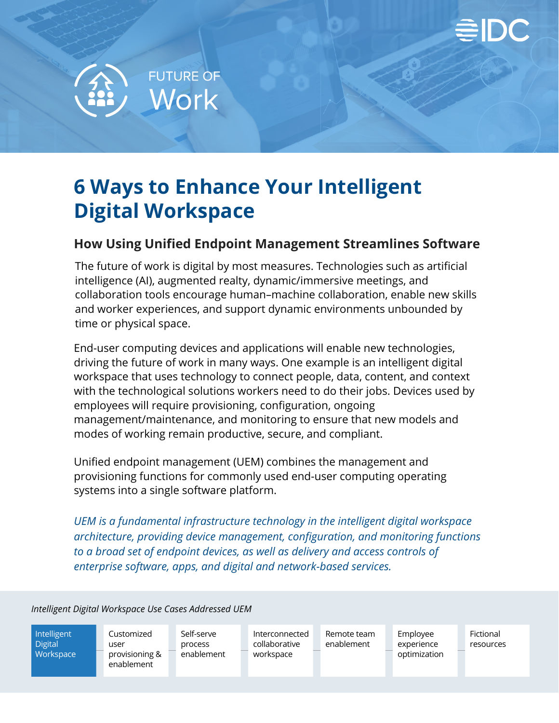



# **6 Ways to Enhance Your Intelligent Digital Workspace**

#### **How Using Unified Endpoint Management Streamlines Software**

The future of work is digital by most measures. Technologies such as artificial intelligence (AI), augmented realty, dynamic/immersive meetings, and collaboration tools encourage human–machine collaboration, enable new skills and worker experiences, and support dynamic environments unbounded by time or physical space.

End-user computing devices and applications will enable new technologies, driving the future of work in many ways. One example is an intelligent digital workspace that uses technology to connect people, data, content, and context with the technological solutions workers need to do their jobs. Devices used by employees will require provisioning, configuration, ongoing management/maintenance, and monitoring to ensure that new models and modes of working remain productive, secure, and compliant.

Unified endpoint management (UEM) combines the management and provisioning functions for commonly used end-user computing operating systems into a single software platform.

*UEM is a fundamental infrastructure technology in the intelligent digital workspace architecture, providing device management, configuration, and monitoring functions to a broad set of endpoint devices, as well as delivery and access controls of enterprise software, apps, and digital and network-based services.*

*Intelligent Digital Workspace Use Cases Addressed UEM*

Intelligent **Digital Workspace**  Customized user provisioning & enablement

Self-serve process enablement

Interconnected collaborative workspace

Remote team enablement

Employee experience optimization

Fictional resources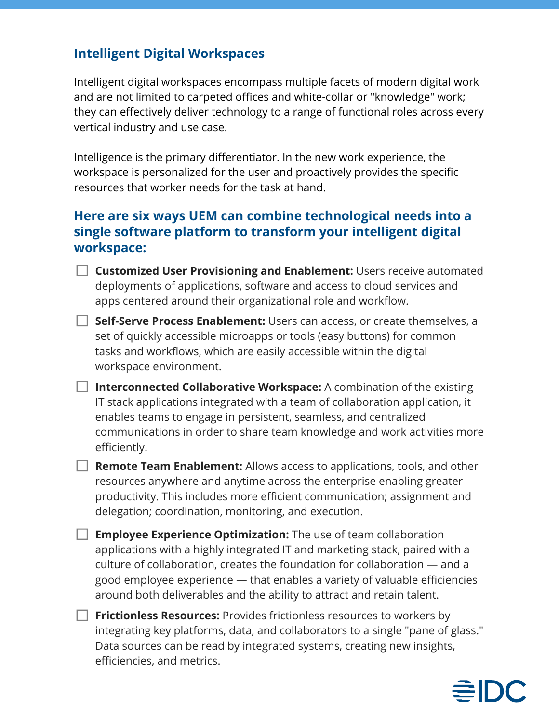#### **Intelligent Digital Workspaces**

Intelligent digital workspaces encompass multiple facets of modern digital work and are not limited to carpeted offices and white-collar or "knowledge" work; they can effectively deliver technology to a range of functional roles across every vertical industry and use case.

Intelligence is the primary differentiator. In the new work experience, the workspace is personalized for the user and proactively provides the specific resources that worker needs for the task at hand.

#### **Here are six ways UEM can combine technological needs into a single software platform to transform your intelligent digital workspace:**

- **Customized User Provisioning and Enablement:** Users receive automated deployments of applications, software and access to cloud services and apps centered around their organizational role and workflow.
- **Self-Serve Process Enablement:** Users can access, or create themselves, a set of quickly accessible microapps or tools (easy buttons) for common tasks and workflows, which are easily accessible within the digital workspace environment.
- **Interconnected Collaborative Workspace:** A combination of the existing IT stack applications integrated with a team of collaboration application, it enables teams to engage in persistent, seamless, and centralized communications in order to share team knowledge and work activities more efficiently.
- **Remote Team Enablement:** Allows access to applications, tools, and other resources anywhere and anytime across the enterprise enabling greater productivity. This includes more efficient communication; assignment and delegation; coordination, monitoring, and execution.
- **Employee Experience Optimization:** The use of team collaboration applications with a highly integrated IT and marketing stack, paired with a culture of collaboration, creates the foundation for collaboration — and a good employee experience — that enables a variety of valuable efficiencies around both deliverables and the ability to attract and retain talent.
- **Frictionless Resources:** Provides frictionless resources to workers by integrating key platforms, data, and collaborators to a single "pane of glass." Data sources can be read by integrated systems, creating new insights, efficiencies, and metrics.